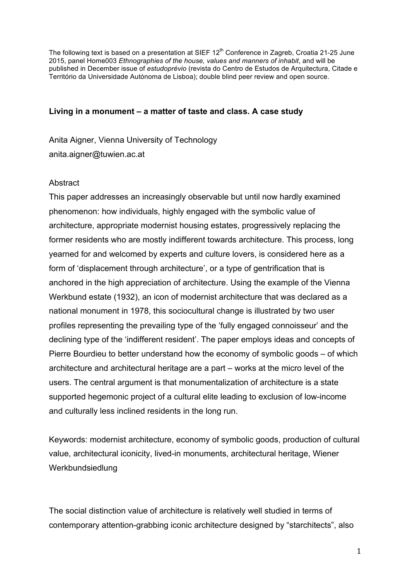The following text is based on a presentation at SIEF 12<sup>th</sup> Conference in Zagreb, Croatia 21-25 June 2015, panel Home003 *Ethnographies of the house, values and manners of inhabit*, and will be published in December issue of *estudoprévio* (revista do Centro de Estudos de Arquitectura, Citade e Território da Universidade Autónoma de Lisboa); double blind peer review and open source.

# **Living in a monument – a matter of taste and class. A case study**

Anita Aigner, Vienna University of Technology anita.aigner@tuwien.ac.at

# **Abstract**

This paper addresses an increasingly observable but until now hardly examined phenomenon: how individuals, highly engaged with the symbolic value of architecture, appropriate modernist housing estates, progressively replacing the former residents who are mostly indifferent towards architecture. This process, long yearned for and welcomed by experts and culture lovers, is considered here as a form of 'displacement through architecture', or a type of gentrification that is anchored in the high appreciation of architecture. Using the example of the Vienna Werkbund estate (1932), an icon of modernist architecture that was declared as a national monument in 1978, this sociocultural change is illustrated by two user profiles representing the prevailing type of the 'fully engaged connoisseur' and the declining type of the 'indifferent resident'. The paper employs ideas and concepts of Pierre Bourdieu to better understand how the economy of symbolic goods – of which architecture and architectural heritage are a part – works at the micro level of the users. The central argument is that monumentalization of architecture is a state supported hegemonic project of a cultural elite leading to exclusion of low-income and culturally less inclined residents in the long run.

Keywords: modernist architecture, economy of symbolic goods, production of cultural value, architectural iconicity, lived-in monuments, architectural heritage, Wiener Werkbundsiedlung

The social distinction value of architecture is relatively well studied in terms of contemporary attention-grabbing iconic architecture designed by "starchitects", also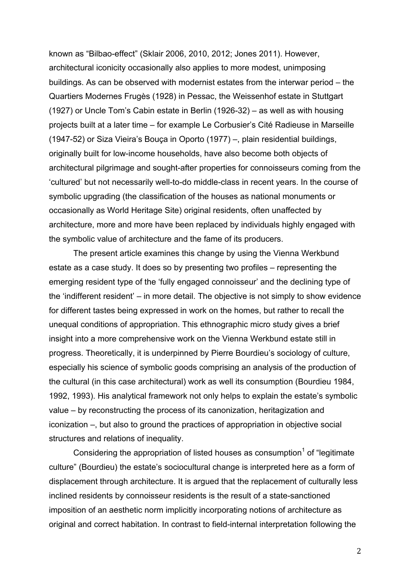known as "Bilbao-effect" (Sklair 2006, 2010, 2012; Jones 2011). However, architectural iconicity occasionally also applies to more modest, unimposing buildings. As can be observed with modernist estates from the interwar period – the Quartiers Modernes Frugès (1928) in Pessac, the Weissenhof estate in Stuttgart (1927) or Uncle Tom's Cabin estate in Berlin (1926-32) – as well as with housing projects built at a later time – for example Le Corbusier's Cité Radieuse in Marseille (1947-52) or Siza Vieira's Bouça in Oporto (1977) –, plain residential buildings, originally built for low-income households, have also become both objects of architectural pilgrimage and sought-after properties for connoisseurs coming from the 'cultured' but not necessarily well-to-do middle-class in recent years. In the course of symbolic upgrading (the classification of the houses as national monuments or occasionally as World Heritage Site) original residents, often unaffected by architecture, more and more have been replaced by individuals highly engaged with the symbolic value of architecture and the fame of its producers.

The present article examines this change by using the Vienna Werkbund estate as a case study. It does so by presenting two profiles – representing the emerging resident type of the 'fully engaged connoisseur' and the declining type of the 'indifferent resident' – in more detail. The objective is not simply to show evidence for different tastes being expressed in work on the homes, but rather to recall the unequal conditions of appropriation. This ethnographic micro study gives a brief insight into a more comprehensive work on the Vienna Werkbund estate still in progress. Theoretically, it is underpinned by Pierre Bourdieu's sociology of culture, especially his science of symbolic goods comprising an analysis of the production of the cultural (in this case architectural) work as well its consumption (Bourdieu 1984, 1992, 1993). His analytical framework not only helps to explain the estate's symbolic value – by reconstructing the process of its canonization, heritagization and iconization –, but also to ground the practices of appropriation in objective social structures and relations of inequality.

Considering the appropriation of listed houses as consumption<sup>1</sup> of "legitimate" culture" (Bourdieu) the estate's sociocultural change is interpreted here as a form of displacement through architecture. It is argued that the replacement of culturally less inclined residents by connoisseur residents is the result of a state-sanctioned imposition of an aesthetic norm implicitly incorporating notions of architecture as original and correct habitation. In contrast to field-internal interpretation following the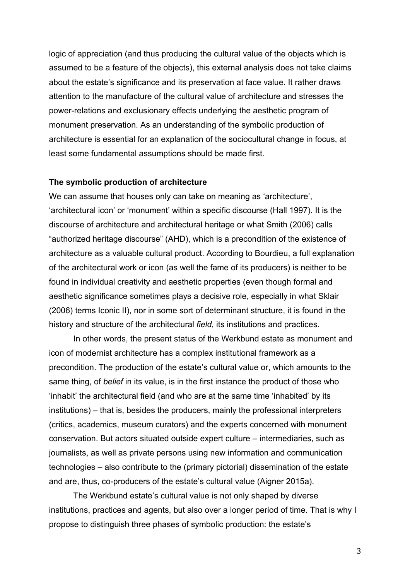logic of appreciation (and thus producing the cultural value of the objects which is assumed to be a feature of the objects), this external analysis does not take claims about the estate's significance and its preservation at face value. It rather draws attention to the manufacture of the cultural value of architecture and stresses the power-relations and exclusionary effects underlying the aesthetic program of monument preservation. As an understanding of the symbolic production of architecture is essential for an explanation of the sociocultural change in focus, at least some fundamental assumptions should be made first.

### **The symbolic production of architecture**

We can assume that houses only can take on meaning as 'architecture', 'architectural icon' or 'monument' within a specific discourse (Hall 1997). It is the discourse of architecture and architectural heritage or what Smith (2006) calls "authorized heritage discourse" (AHD), which is a precondition of the existence of architecture as a valuable cultural product. According to Bourdieu, a full explanation of the architectural work or icon (as well the fame of its producers) is neither to be found in individual creativity and aesthetic properties (even though formal and aesthetic significance sometimes plays a decisive role, especially in what Sklair (2006) terms Iconic II), nor in some sort of determinant structure, it is found in the history and structure of the architectural *field*, its institutions and practices.

In other words, the present status of the Werkbund estate as monument and icon of modernist architecture has a complex institutional framework as a precondition. The production of the estate's cultural value or, which amounts to the same thing, of *belief* in its value, is in the first instance the product of those who 'inhabit' the architectural field (and who are at the same time 'inhabited' by its institutions) – that is, besides the producers, mainly the professional interpreters (critics, academics, museum curators) and the experts concerned with monument conservation. But actors situated outside expert culture – intermediaries, such as journalists, as well as private persons using new information and communication technologies – also contribute to the (primary pictorial) dissemination of the estate and are, thus, co-producers of the estate's cultural value (Aigner 2015a).

The Werkbund estate's cultural value is not only shaped by diverse institutions, practices and agents, but also over a longer period of time. That is why I propose to distinguish three phases of symbolic production: the estate's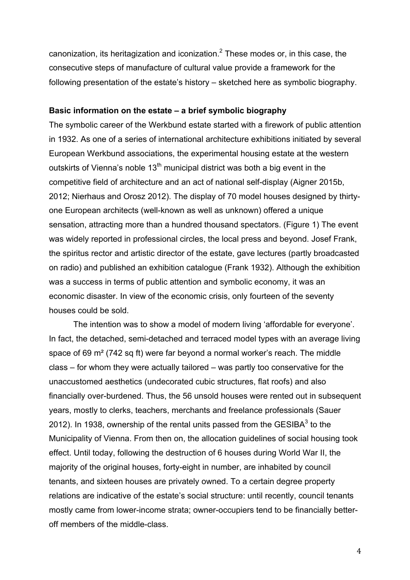canonization, its heritagization and iconization. $<sup>2</sup>$  These modes or, in this case, the</sup> consecutive steps of manufacture of cultural value provide a framework for the following presentation of the estate's history – sketched here as symbolic biography.

## **Basic information on the estate – a brief symbolic biography**

The symbolic career of the Werkbund estate started with a firework of public attention in 1932. As one of a series of international architecture exhibitions initiated by several European Werkbund associations, the experimental housing estate at the western outskirts of Vienna's noble  $13<sup>th</sup>$  municipal district was both a big event in the competitive field of architecture and an act of national self-display (Aigner 2015b, 2012; Nierhaus and Orosz 2012). The display of 70 model houses designed by thirtyone European architects (well-known as well as unknown) offered a unique sensation, attracting more than a hundred thousand spectators. (Figure 1) The event was widely reported in professional circles, the local press and beyond. Josef Frank, the spiritus rector and artistic director of the estate, gave lectures (partly broadcasted on radio) and published an exhibition catalogue (Frank 1932). Although the exhibition was a success in terms of public attention and symbolic economy, it was an economic disaster. In view of the economic crisis, only fourteen of the seventy houses could be sold.

The intention was to show a model of modern living 'affordable for everyone'. In fact, the detached, semi-detached and terraced model types with an average living space of 69 m² (742 sq ft) were far beyond a normal worker's reach. The middle class – for whom they were actually tailored – was partly too conservative for the unaccustomed aesthetics (undecorated cubic structures, flat roofs) and also financially over-burdened. Thus, the 56 unsold houses were rented out in subsequent years, mostly to clerks, teachers, merchants and freelance professionals (Sauer 2012). In 1938, ownership of the rental units passed from the GESIBA $3$  to the Municipality of Vienna. From then on, the allocation guidelines of social housing took effect. Until today, following the destruction of 6 houses during World War II, the majority of the original houses, forty-eight in number, are inhabited by council tenants, and sixteen houses are privately owned. To a certain degree property relations are indicative of the estate's social structure: until recently, council tenants mostly came from lower-income strata; owner-occupiers tend to be financially betteroff members of the middle-class.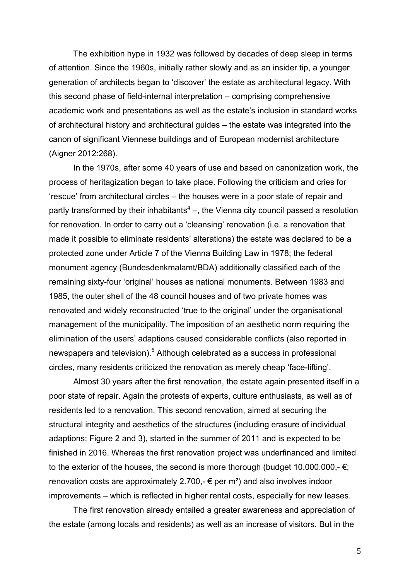The exhibition hype in 1932 was followed by decades of deep sleep in terms of attention. Since the 1960s, initially rather slowly and as an insider tip, a younger generation of architects began to 'discover' the estate as architectural legacy. With this second phase of field-internal interpretation – comprising comprehensive academic work and presentations as well as the estate's inclusion in standard works of architectural history and architectural guides – the estate was integrated into the canon of significant Viennese buildings and of European modernist architecture (Aigner 2012:268).

In the 1970s, after some 40 years of use and based on canonization work, the process of heritagization began to take place. Following the criticism and cries for 'rescue' from architectural circles – the houses were in a poor state of repair and partly transformed by their inhabitants<sup>4</sup> –, the Vienna city council passed a resolution for renovation. In order to carry out a 'cleansing' renovation (i.e. a renovation that made it possible to eliminate residents' alterations) the estate was declared to be a protected zone under Article 7 of the Vienna Building Law in 1978; the federal monument agency (Bundesdenkmalamt/BDA) additionally classified each of the remaining sixty-four 'original' houses as national monuments. Between 1983 and 1985, the outer shell of the 48 council houses and of two private homes was renovated and widely reconstructed 'true to the original' under the organisational management of the municipality. The imposition of an aesthetic norm requiring the elimination of the users' adaptions caused considerable conflicts (also reported in newspapers and television).<sup>5</sup> Although celebrated as a success in professional circles, many residents criticized the renovation as merely cheap 'face-lifting'.

Almost 30 years after the first renovation, the estate again presented itself in a poor state of repair. Again the protests of experts, culture enthusiasts, as well as of residents led to a renovation. This second renovation, aimed at securing the structural integrity and aesthetics of the structures (including erasure of individual adaptions; Figure 2 and 3), started in the summer of 2011 and is expected to be finished in 2016. Whereas the first renovation project was underfinanced and limited to the exterior of the houses, the second is more thorough (budget 10.000.000,-  $\epsilon$ ; renovation costs are approximately 2.700,-  $\epsilon$  per m<sup>2</sup>) and also involves indoor improvements – which is reflected in higher rental costs, especially for new leases.

The first renovation already entailed a greater awareness and appreciation of the estate (among locals and residents) as well as an increase of visitors. But in the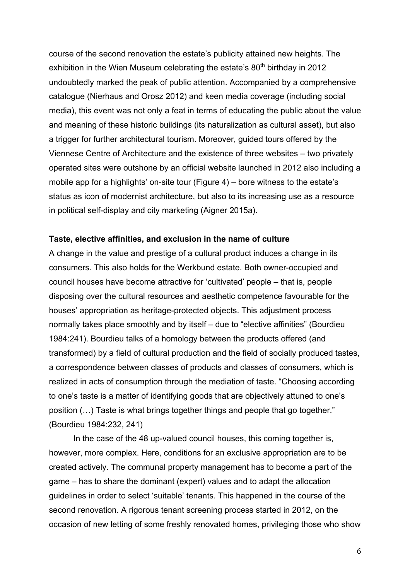course of the second renovation the estate's publicity attained new heights. The exhibition in the Wien Museum celebrating the estate's  $80<sup>th</sup>$  birthday in 2012 undoubtedly marked the peak of public attention. Accompanied by a comprehensive catalogue (Nierhaus and Orosz 2012) and keen media coverage (including social media), this event was not only a feat in terms of educating the public about the value and meaning of these historic buildings (its naturalization as cultural asset), but also a trigger for further architectural tourism. Moreover, guided tours offered by the Viennese Centre of Architecture and the existence of three websites – two privately operated sites were outshone by an official website launched in 2012 also including a mobile app for a highlights' on-site tour (Figure 4) – bore witness to the estate's status as icon of modernist architecture, but also to its increasing use as a resource in political self-display and city marketing (Aigner 2015a).

### **Taste, elective affinities, and exclusion in the name of culture**

A change in the value and prestige of a cultural product induces a change in its consumers. This also holds for the Werkbund estate. Both owner-occupied and council houses have become attractive for 'cultivated' people – that is, people disposing over the cultural resources and aesthetic competence favourable for the houses' appropriation as heritage-protected objects. This adjustment process normally takes place smoothly and by itself – due to "elective affinities" (Bourdieu 1984:241). Bourdieu talks of a homology between the products offered (and transformed) by a field of cultural production and the field of socially produced tastes, a correspondence between classes of products and classes of consumers, which is realized in acts of consumption through the mediation of taste. "Choosing according to one's taste is a matter of identifying goods that are objectively attuned to one's position (…) Taste is what brings together things and people that go together." (Bourdieu 1984:232, 241)

In the case of the 48 up-valued council houses, this coming together is, however, more complex. Here, conditions for an exclusive appropriation are to be created actively. The communal property management has to become a part of the game – has to share the dominant (expert) values and to adapt the allocation guidelines in order to select 'suitable' tenants. This happened in the course of the second renovation. A rigorous tenant screening process started in 2012, on the occasion of new letting of some freshly renovated homes, privileging those who show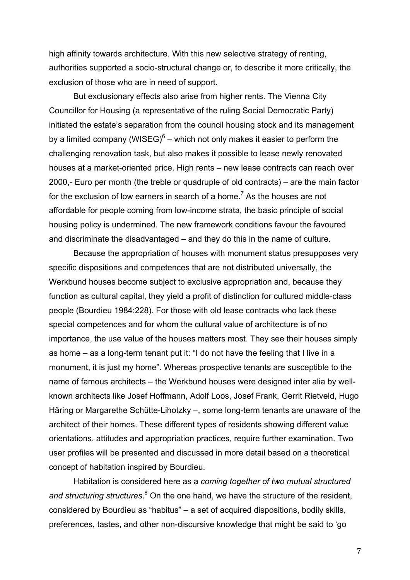high affinity towards architecture. With this new selective strategy of renting, authorities supported a socio-structural change or, to describe it more critically, the exclusion of those who are in need of support.

But exclusionary effects also arise from higher rents. The Vienna City Councillor for Housing (a representative of the ruling Social Democratic Party) initiated the estate's separation from the council housing stock and its management by a limited company (WISEG) $^6$  – which not only makes it easier to perform the challenging renovation task, but also makes it possible to lease newly renovated houses at a market-oriented price. High rents – new lease contracts can reach over 2000,- Euro per month (the treble or quadruple of old contracts) – are the main factor for the exclusion of low earners in search of a home.<sup>7</sup> As the houses are not affordable for people coming from low-income strata, the basic principle of social housing policy is undermined. The new framework conditions favour the favoured and discriminate the disadvantaged – and they do this in the name of culture.

Because the appropriation of houses with monument status presupposes very specific dispositions and competences that are not distributed universally, the Werkbund houses become subject to exclusive appropriation and, because they function as cultural capital, they yield a profit of distinction for cultured middle-class people (Bourdieu 1984:228). For those with old lease contracts who lack these special competences and for whom the cultural value of architecture is of no importance, the use value of the houses matters most. They see their houses simply as home – as a long-term tenant put it: "I do not have the feeling that I live in a monument, it is just my home". Whereas prospective tenants are susceptible to the name of famous architects – the Werkbund houses were designed inter alia by wellknown architects like Josef Hoffmann, Adolf Loos, Josef Frank, Gerrit Rietveld, Hugo Häring or Margarethe Schütte-Lihotzky –, some long-term tenants are unaware of the architect of their homes. These different types of residents showing different value orientations, attitudes and appropriation practices, require further examination. Two user profiles will be presented and discussed in more detail based on a theoretical concept of habitation inspired by Bourdieu.

Habitation is considered here as a *coming together of two mutual structured*  and structuring structures.<sup>8</sup> On the one hand, we have the structure of the resident, considered by Bourdieu as "habitus" – a set of acquired dispositions, bodily skills, preferences, tastes, and other non-discursive knowledge that might be said to 'go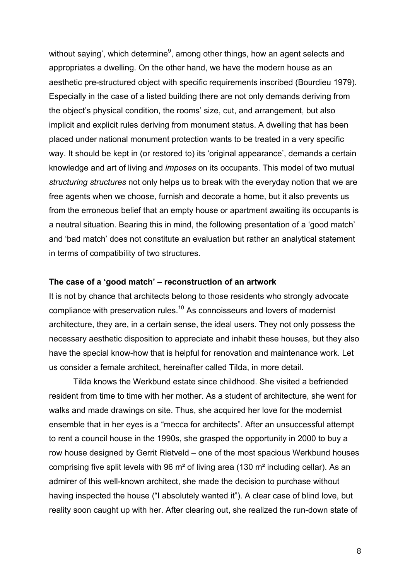without saying', which determine $9$ , among other things, how an agent selects and appropriates a dwelling. On the other hand, we have the modern house as an aesthetic pre-structured object with specific requirements inscribed (Bourdieu 1979). Especially in the case of a listed building there are not only demands deriving from the object's physical condition, the rooms' size, cut, and arrangement, but also implicit and explicit rules deriving from monument status. A dwelling that has been placed under national monument protection wants to be treated in a very specific way. It should be kept in (or restored to) its 'original appearance', demands a certain knowledge and art of living and *imposes* on its occupants. This model of two mutual *structuring structures* not only helps us to break with the everyday notion that we are free agents when we choose, furnish and decorate a home, but it also prevents us from the erroneous belief that an empty house or apartment awaiting its occupants is a neutral situation. Bearing this in mind, the following presentation of a 'good match' and 'bad match' does not constitute an evaluation but rather an analytical statement in terms of compatibility of two structures.

### **The case of a 'good match' – reconstruction of an artwork**

It is not by chance that architects belong to those residents who strongly advocate compliance with preservation rules.<sup>10</sup> As connoisseurs and lovers of modernist architecture, they are, in a certain sense, the ideal users. They not only possess the necessary aesthetic disposition to appreciate and inhabit these houses, but they also have the special know-how that is helpful for renovation and maintenance work. Let us consider a female architect, hereinafter called Tilda, in more detail.

Tilda knows the Werkbund estate since childhood. She visited a befriended resident from time to time with her mother. As a student of architecture, she went for walks and made drawings on site. Thus, she acquired her love for the modernist ensemble that in her eyes is a "mecca for architects". After an unsuccessful attempt to rent a council house in the 1990s, she grasped the opportunity in 2000 to buy a row house designed by Gerrit Rietveld – one of the most spacious Werkbund houses comprising five split levels with 96 m² of living area (130 m² including cellar). As an admirer of this well-known architect, she made the decision to purchase without having inspected the house ("I absolutely wanted it"). A clear case of blind love, but reality soon caught up with her. After clearing out, she realized the run-down state of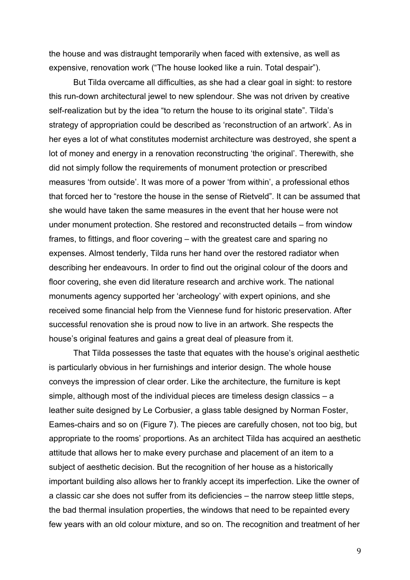the house and was distraught temporarily when faced with extensive, as well as expensive, renovation work ("The house looked like a ruin. Total despair").

But Tilda overcame all difficulties, as she had a clear goal in sight: to restore this run-down architectural jewel to new splendour. She was not driven by creative self-realization but by the idea "to return the house to its original state". Tilda's strategy of appropriation could be described as 'reconstruction of an artwork'. As in her eyes a lot of what constitutes modernist architecture was destroyed, she spent a lot of money and energy in a renovation reconstructing 'the original'. Therewith, she did not simply follow the requirements of monument protection or prescribed measures 'from outside'. It was more of a power 'from within', a professional ethos that forced her to "restore the house in the sense of Rietveld". It can be assumed that she would have taken the same measures in the event that her house were not under monument protection. She restored and reconstructed details – from window frames, to fittings, and floor covering – with the greatest care and sparing no expenses. Almost tenderly, Tilda runs her hand over the restored radiator when describing her endeavours. In order to find out the original colour of the doors and floor covering, she even did literature research and archive work. The national monuments agency supported her 'archeology' with expert opinions, and she received some financial help from the Viennese fund for historic preservation. After successful renovation she is proud now to live in an artwork. She respects the house's original features and gains a great deal of pleasure from it.

That Tilda possesses the taste that equates with the house's original aesthetic is particularly obvious in her furnishings and interior design. The whole house conveys the impression of clear order. Like the architecture, the furniture is kept simple, although most of the individual pieces are timeless design classics – a leather suite designed by Le Corbusier, a glass table designed by Norman Foster, Eames-chairs and so on (Figure 7). The pieces are carefully chosen, not too big, but appropriate to the rooms' proportions. As an architect Tilda has acquired an aesthetic attitude that allows her to make every purchase and placement of an item to a subject of aesthetic decision. But the recognition of her house as a historically important building also allows her to frankly accept its imperfection. Like the owner of a classic car she does not suffer from its deficiencies – the narrow steep little steps, the bad thermal insulation properties, the windows that need to be repainted every few years with an old colour mixture, and so on. The recognition and treatment of her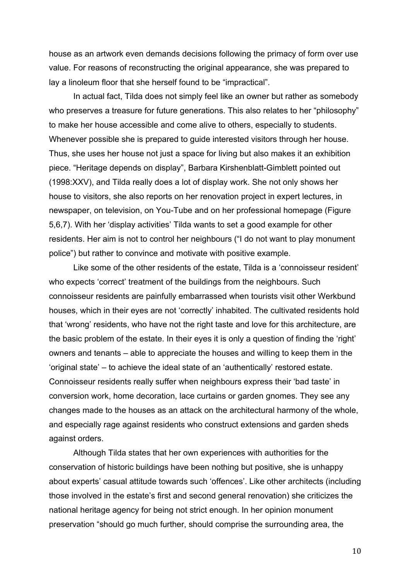house as an artwork even demands decisions following the primacy of form over use value. For reasons of reconstructing the original appearance, she was prepared to lay a linoleum floor that she herself found to be "impractical".

In actual fact, Tilda does not simply feel like an owner but rather as somebody who preserves a treasure for future generations. This also relates to her "philosophy" to make her house accessible and come alive to others, especially to students. Whenever possible she is prepared to guide interested visitors through her house. Thus, she uses her house not just a space for living but also makes it an exhibition piece. "Heritage depends on display", Barbara Kirshenblatt-Gimblett pointed out (1998:XXV), and Tilda really does a lot of display work. She not only shows her house to visitors, she also reports on her renovation project in expert lectures, in newspaper, on television, on You-Tube and on her professional homepage (Figure 5,6,7). With her 'display activities' Tilda wants to set a good example for other residents. Her aim is not to control her neighbours ("I do not want to play monument police") but rather to convince and motivate with positive example.

Like some of the other residents of the estate, Tilda is a 'connoisseur resident' who expects 'correct' treatment of the buildings from the neighbours. Such connoisseur residents are painfully embarrassed when tourists visit other Werkbund houses, which in their eyes are not 'correctly' inhabited. The cultivated residents hold that 'wrong' residents, who have not the right taste and love for this architecture, are the basic problem of the estate. In their eyes it is only a question of finding the 'right' owners and tenants – able to appreciate the houses and willing to keep them in the 'original state' – to achieve the ideal state of an 'authentically' restored estate. Connoisseur residents really suffer when neighbours express their 'bad taste' in conversion work, home decoration, lace curtains or garden gnomes. They see any changes made to the houses as an attack on the architectural harmony of the whole, and especially rage against residents who construct extensions and garden sheds against orders.

Although Tilda states that her own experiences with authorities for the conservation of historic buildings have been nothing but positive, she is unhappy about experts' casual attitude towards such 'offences'. Like other architects (including those involved in the estate's first and second general renovation) she criticizes the national heritage agency for being not strict enough. In her opinion monument preservation "should go much further, should comprise the surrounding area, the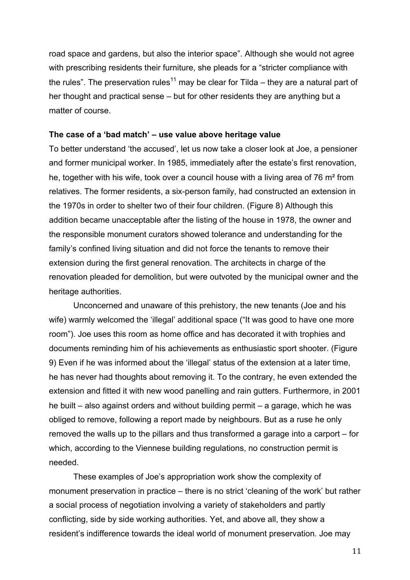road space and gardens, but also the interior space". Although she would not agree with prescribing residents their furniture, she pleads for a "stricter compliance with the rules". The preservation rules<sup>11</sup> may be clear for Tilda – they are a natural part of her thought and practical sense – but for other residents they are anything but a matter of course.

## **The case of a 'bad match' – use value above heritage value**

To better understand 'the accused', let us now take a closer look at Joe, a pensioner and former municipal worker. In 1985, immediately after the estate's first renovation, he, together with his wife, took over a council house with a living area of 76 m² from relatives. The former residents, a six-person family, had constructed an extension in the 1970s in order to shelter two of their four children. (Figure 8) Although this addition became unacceptable after the listing of the house in 1978, the owner and the responsible monument curators showed tolerance and understanding for the family's confined living situation and did not force the tenants to remove their extension during the first general renovation. The architects in charge of the renovation pleaded for demolition, but were outvoted by the municipal owner and the heritage authorities.

Unconcerned and unaware of this prehistory, the new tenants (Joe and his wife) warmly welcomed the 'illegal' additional space ("It was good to have one more room"). Joe uses this room as home office and has decorated it with trophies and documents reminding him of his achievements as enthusiastic sport shooter. (Figure 9) Even if he was informed about the 'illegal' status of the extension at a later time, he has never had thoughts about removing it. To the contrary, he even extended the extension and fitted it with new wood panelling and rain gutters. Furthermore, in 2001 he built – also against orders and without building permit – a garage, which he was obliged to remove, following a report made by neighbours. But as a ruse he only removed the walls up to the pillars and thus transformed a garage into a carport – for which, according to the Viennese building regulations, no construction permit is needed.

These examples of Joe's appropriation work show the complexity of monument preservation in practice – there is no strict 'cleaning of the work' but rather a social process of negotiation involving a variety of stakeholders and partly conflicting, side by side working authorities. Yet, and above all, they show a resident's indifference towards the ideal world of monument preservation. Joe may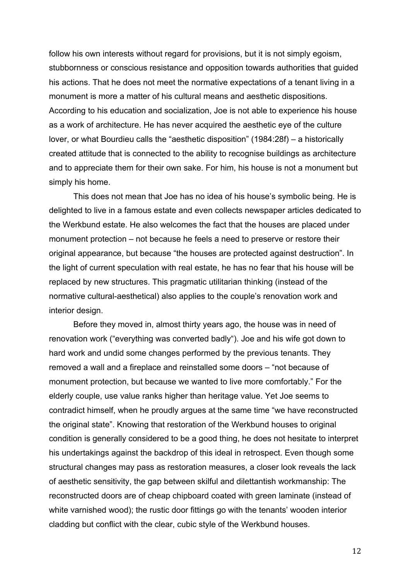follow his own interests without regard for provisions, but it is not simply egoism, stubbornness or conscious resistance and opposition towards authorities that guided his actions. That he does not meet the normative expectations of a tenant living in a monument is more a matter of his cultural means and aesthetic dispositions. According to his education and socialization, Joe is not able to experience his house as a work of architecture. He has never acquired the aesthetic eye of the culture lover, or what Bourdieu calls the "aesthetic disposition" (1984:28f) – a historically created attitude that is connected to the ability to recognise buildings as architecture and to appreciate them for their own sake. For him, his house is not a monument but simply his home.

This does not mean that Joe has no idea of his house's symbolic being. He is delighted to live in a famous estate and even collects newspaper articles dedicated to the Werkbund estate. He also welcomes the fact that the houses are placed under monument protection – not because he feels a need to preserve or restore their original appearance, but because "the houses are protected against destruction". In the light of current speculation with real estate, he has no fear that his house will be replaced by new structures. This pragmatic utilitarian thinking (instead of the normative cultural-aesthetical) also applies to the couple's renovation work and interior design.

Before they moved in, almost thirty years ago, the house was in need of renovation work ("everything was converted badly"). Joe and his wife got down to hard work and undid some changes performed by the previous tenants. They removed a wall and a fireplace and reinstalled some doors – "not because of monument protection, but because we wanted to live more comfortably." For the elderly couple, use value ranks higher than heritage value. Yet Joe seems to contradict himself, when he proudly argues at the same time "we have reconstructed the original state". Knowing that restoration of the Werkbund houses to original condition is generally considered to be a good thing, he does not hesitate to interpret his undertakings against the backdrop of this ideal in retrospect. Even though some structural changes may pass as restoration measures, a closer look reveals the lack of aesthetic sensitivity, the gap between skilful and dilettantish workmanship: The reconstructed doors are of cheap chipboard coated with green laminate (instead of white varnished wood); the rustic door fittings go with the tenants' wooden interior cladding but conflict with the clear, cubic style of the Werkbund houses.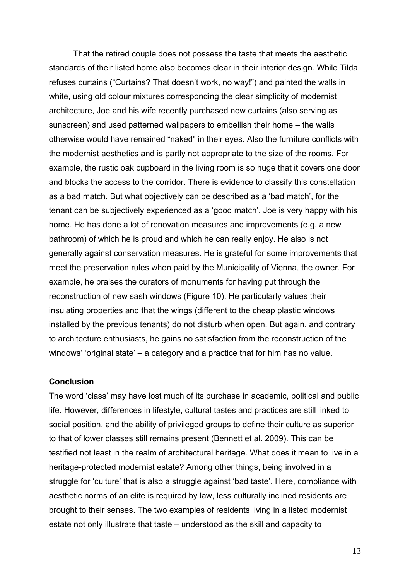That the retired couple does not possess the taste that meets the aesthetic standards of their listed home also becomes clear in their interior design. While Tilda refuses curtains ("Curtains? That doesn't work, no way!") and painted the walls in white, using old colour mixtures corresponding the clear simplicity of modernist architecture, Joe and his wife recently purchased new curtains (also serving as sunscreen) and used patterned wallpapers to embellish their home – the walls otherwise would have remained "naked" in their eyes. Also the furniture conflicts with the modernist aesthetics and is partly not appropriate to the size of the rooms. For example, the rustic oak cupboard in the living room is so huge that it covers one door and blocks the access to the corridor. There is evidence to classify this constellation as a bad match. But what objectively can be described as a 'bad match', for the tenant can be subjectively experienced as a 'good match'. Joe is very happy with his home. He has done a lot of renovation measures and improvements (e.g. a new bathroom) of which he is proud and which he can really enjoy. He also is not generally against conservation measures. He is grateful for some improvements that meet the preservation rules when paid by the Municipality of Vienna, the owner. For example, he praises the curators of monuments for having put through the reconstruction of new sash windows (Figure 10). He particularly values their insulating properties and that the wings (different to the cheap plastic windows installed by the previous tenants) do not disturb when open. But again, and contrary to architecture enthusiasts, he gains no satisfaction from the reconstruction of the windows' 'original state' – a category and a practice that for him has no value.

## **Conclusion**

The word 'class' may have lost much of its purchase in academic, political and public life. However, differences in lifestyle, cultural tastes and practices are still linked to social position, and the ability of privileged groups to define their culture as superior to that of lower classes still remains present (Bennett et al. 2009). This can be testified not least in the realm of architectural heritage. What does it mean to live in a heritage-protected modernist estate? Among other things, being involved in a struggle for 'culture' that is also a struggle against 'bad taste'. Here, compliance with aesthetic norms of an elite is required by law, less culturally inclined residents are brought to their senses. The two examples of residents living in a listed modernist estate not only illustrate that taste – understood as the skill and capacity to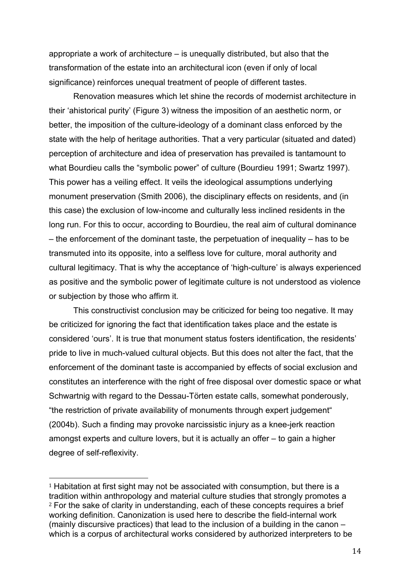appropriate a work of architecture – is unequally distributed, but also that the transformation of the estate into an architectural icon (even if only of local significance) reinforces unequal treatment of people of different tastes.

Renovation measures which let shine the records of modernist architecture in their 'ahistorical purity' (Figure 3) witness the imposition of an aesthetic norm, or better, the imposition of the culture-ideology of a dominant class enforced by the state with the help of heritage authorities. That a very particular (situated and dated) perception of architecture and idea of preservation has prevailed is tantamount to what Bourdieu calls the "symbolic power" of culture (Bourdieu 1991; Swartz 1997). This power has a veiling effect. It veils the ideological assumptions underlying monument preservation (Smith 2006), the disciplinary effects on residents, and (in this case) the exclusion of low-income and culturally less inclined residents in the long run. For this to occur, according to Bourdieu, the real aim of cultural dominance – the enforcement of the dominant taste, the perpetuation of inequality – has to be transmuted into its opposite, into a selfless love for culture, moral authority and cultural legitimacy. That is why the acceptance of 'high-culture' is always experienced as positive and the symbolic power of legitimate culture is not understood as violence or subjection by those who affirm it.

This constructivist conclusion may be criticized for being too negative. It may be criticized for ignoring the fact that identification takes place and the estate is considered 'ours'. It is true that monument status fosters identification, the residents' pride to live in much-valued cultural objects. But this does not alter the fact, that the enforcement of the dominant taste is accompanied by effects of social exclusion and constitutes an interference with the right of free disposal over domestic space or what Schwartnig with regard to the Dessau-Törten estate calls, somewhat ponderously, "the restriction of private availability of monuments through expert judgement" (2004b). Such a finding may provoke narcissistic injury as a knee-jerk reaction amongst experts and culture lovers, but it is actually an offer – to gain a higher degree of self-reflexivity.

<sup>&</sup>lt;sup>1</sup> Habitation at first sight may not be associated with consumption, but there is a tradition within anthropology and material culture studies that strongly promotes a <sup>2</sup> For the sake of clarity in understanding, each of these concepts requires a brief working definition. Canonization is used here to describe the field-internal work (mainly discursive practices) that lead to the inclusion of a building in the canon – which is a corpus of architectural works considered by authorized interpreters to be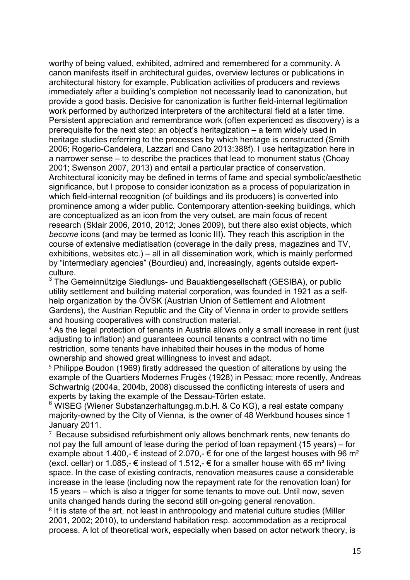worthy of being valued, exhibited, admired and remembered for a community. A canon manifests itself in architectural guides, overview lectures or publications in architectural history for example. Publication activities of producers and reviews immediately after a building's completion not necessarily lead to canonization, but provide a good basis. Decisive for canonization is further field-internal legitimation work performed by authorized interpreters of the architectural field at a later time. Persistent appreciation and remembrance work (often experienced as discovery) is a prerequisite for the next step: an object's heritagization – a term widely used in heritage studies referring to the processes by which heritage is constructed (Smith 2006; Rogerio-Candelera, Lazzari and Cano 2013:388f). I use heritagization here in a narrower sense – to describe the practices that lead to monument status (Choay 2001; Swenson 2007, 2013) and entail a particular practice of conservation. Architectural iconicity may be defined in terms of fame and special symbolic/aesthetic significance, but I propose to consider iconization as a process of popularization in which field-internal recognition (of buildings and its producers) is converted into prominence among a wider public. Contemporary attention-seeking buildings, which are conceptualized as an icon from the very outset, are main focus of recent research (Sklair 2006, 2010, 2012; Jones 2009), but there also exist objects, which *become* icons (and may be termed as Iconic III). They reach this ascription in the course of extensive mediatisation (coverage in the daily press, magazines and TV, exhibitions, websites etc.) – all in all dissemination work, which is mainly performed by "intermediary agencies" (Bourdieu) and, increasingly, agents outside expertculture.

<u> 1989 - Andrea Santa Andrea Andrea Andrea Andrea Andrea Andrea Andrea Andrea Andrea Andrea Andrea Andrea Andr</u>

 $3$  The Gemeinnützige Siedlungs- und Bauaktiengesellschaft (GESIBA), or public utility settlement and building material corporation, was founded in 1921 as a selfhelp organization by the ÖVSK (Austrian Union of Settlement and Allotment Gardens), the Austrian Republic and the City of Vienna in order to provide settlers and housing cooperatives with construction material.

<sup>4</sup> As the legal protection of tenants in Austria allows only a small increase in rent (just adjusting to inflation) and guarantees council tenants a contract with no time restriction, some tenants have inhabited their houses in the modus of home ownership and showed great willingness to invest and adapt.

<sup>5</sup> Philippe Boudon (1969) firstly addressed the question of alterations by using the example of the Quartiers Modernes Frugès (1928) in Pessac; more recently, Andreas Schwartnig (2004a, 2004b, 2008) discussed the conflicting interests of users and experts by taking the example of the Dessau-Törten estate.

 $6$  WISEG (Wiener Substanzerhaltungsg.m.b.H. & Co KG), a real estate company majority-owned by the City of Vienna, is the owner of 48 Werkbund houses since 1 January 2011.

<sup>7</sup> Because subsidised refurbishment only allows benchmark rents, new tenants do not pay the full amount of lease during the period of loan repayment (15 years) – for example about 1.400,-  $\epsilon$  instead of 2.070,-  $\epsilon$  for one of the largest houses with 96 m<sup>2</sup> (excl. cellar) or 1.085,- € instead of 1.512,- € for a smaller house with 65 m<sup>2</sup> living space. In the case of existing contracts, renovation measures cause a considerable increase in the lease (including now the repayment rate for the renovation loan) for 15 years – which is also a trigger for some tenants to move out. Until now, seven units changed hands during the second still on-going general renovation.

<sup>8</sup> It is state of the art, not least in anthropology and material culture studies (Miller 2001, 2002; 2010), to understand habitation resp. accommodation as a reciprocal process. A lot of theoretical work, especially when based on actor network theory, is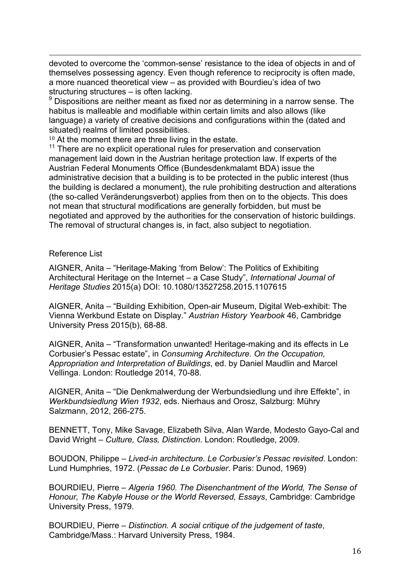<u> 1989 - Andrea Santa Andrea Andrea Andrea Andrea Andrea Andrea Andrea Andrea Andrea Andrea Andrea Andrea Andr</u> devoted to overcome the 'common-sense' resistance to the idea of objects in and of themselves possessing agency. Even though reference to reciprocity is often made, a more nuanced theoretical view – as provided with Bourdieu's idea of two structuring structures – is often lacking.

 $9$  Dispositions are neither meant as fixed nor as determining in a narrow sense. The habitus is malleable and modifiable within certain limits and also allows (like language) a variety of creative decisions and configurations within the (dated and situated) realms of limited possibilities.

 $10$  At the moment there are three living in the estate.<br> $11$  There are no explicit operational rules for preservation and conservation management laid down in the Austrian heritage protection law. If experts of the Austrian Federal Monuments Office (Bundesdenkmalamt BDA) issue the administrative decision that a building is to be protected in the public interest (thus the building is declared a monument), the rule prohibiting destruction and alterations (the so-called Veränderungsverbot) applies from then on to the objects. This does not mean that structural modifications are generally forbidden, but must be negotiated and approved by the authorities for the conservation of historic buildings. The removal of structural changes is, in fact, also subject to negotiation.

# Reference List

AIGNER, Anita – "Heritage-Making 'from Below': The Politics of Exhibiting Architectural Heritage on the Internet – a Case Study", *International Journal of Heritage Studies* 2015(a) DOI: 10.1080/13527258.2015.1107615

AIGNER, Anita – "Building Exhibition, Open-air Museum, Digital Web-exhibit: The Vienna Werkbund Estate on Display." *Austrian History Yearbook* 46, Cambridge University Press 2015(b), 68-88.

AIGNER, Anita – "Transformation unwanted! Heritage-making and its effects in Le Corbusier's Pessac estate", in *Consuming Architecture. On the Occupation, Appropriation and Interpretation of Buildings*, ed. by Daniel Maudlin and Marcel Vellinga. London: Routledge 2014, 70-88.

AIGNER, Anita – "Die Denkmalwerdung der Werbundsiedlung und ihre Effekte", in *Werkbundsiedlung Wien 1932*, eds. Nierhaus and Orosz, Salzburg: Mühry Salzmann, 2012, 266-275.

BENNETT, Tony, Mike Savage, Elizabeth Silva, Alan Warde, Modesto Gayo-Cal and David Wright – *Culture, Class, Distinction*. London: Routledge, 2009.

BOUDON, Philippe – *Lived-in architecture. Le Corbusier's Pessac revisited*. London: Lund Humphries, 1972. (*Pessac de Le Corbusier*. Paris: Dunod, 1969)

BOURDIEU, Pierre – *Algeria 1960. The Disenchantment of the World, The Sense of Honour, The Kabyle House or the World Reversed, Essays*, Cambridge: Cambridge University Press, 1979.

BOURDIEU, Pierre – *Distinction. A social critique of the judgement of taste*, Cambridge/Mass.: Harvard University Press, 1984.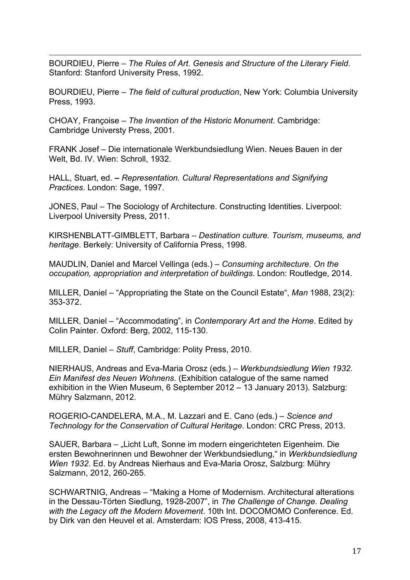<u> 1989 - Andrea Santa Andrea Andrea Andrea Andrea Andrea Andrea Andrea Andrea Andrea Andrea Andrea Andrea Andr</u> BOURDIEU, Pierre – *The Rules of Art. Genesis and Structure of the Literary Field*. Stanford: Stanford University Press, 1992.

BOURDIEU, Pierre – *The field of cultural production*, New York: Columbia University Press, 1993.

CHOAY, Françoise – *The Invention of the Historic Monument*. Cambridge: Cambridge Universty Press, 2001.

FRANK Josef – Die internationale Werkbundsiedlung Wien. Neues Bauen in der Welt, Bd. IV. Wien: Schroll, 1932.

HALL, Stuart, ed. **–** *Representation. Cultural Representations and Signifying Practices*. London: Sage, 1997.

JONES, Paul – The Sociology of Architecture. Constructing Identities. Liverpool: Liverpool University Press, 2011.

KIRSHENBLATT-GIMBLETT, Barbara – *Destination culture. Tourism, museums, and heritage*. Berkely: University of California Press, 1998.

MAUDLIN, Daniel and Marcel Vellinga (eds.) – *Consuming architecture. On the occupation, appropriation and interpretation of buildings*. London: Routledge, 2014.

MILLER, Daniel – "Appropriating the State on the Council Estate", *Man* 1988, 23(2): 353-372.

MILLER, Daniel – "Accommodating", in *Contemporary Art and the Home*. Edited by Colin Painter. Oxford: Berg, 2002, 115-130.

MILLER, Daniel – *Stuff*, Cambridge: Polity Press, 2010.

NIERHAUS, Andreas and Eva-Maria Orosz (eds.) – *Werkbundsiedlung Wien 1932. Ein Manifest des Neuen Wohnens*. (Exhibition catalogue of the same named exhibition in the Wien Museum, 6 September 2012 – 13 January 2013). Salzburg: Mühry Salzmann, 2012.

ROGERIO-CANDELERA, M.A., M. Lazzari and E. Cano (eds.) – *Science and Technology for the Conservation of Cultural Heritage*. London: CRC Press, 2013.

SAUER, Barbara – "Licht Luft, Sonne im modern eingerichteten Eigenheim. Die ersten Bewohnerinnen und Bewohner der Werkbundsiedlung," in *Werkbundsiedlung Wien 1932*. Ed. by Andreas Nierhaus and Eva-Maria Orosz, Salzburg: Mühry Salzmann, 2012, 260-265.

SCHWARTNIG, Andreas – "Making a Home of Modernism. Architectural alterations in the Dessau-Törten Siedlung, 1928-2007", in *The Challenge of Change. Dealing with the Legacy oft the Modern Movement*. 10th Int. DOCOMOMO Conference. Ed. by Dirk van den Heuvel et al. Amsterdam: IOS Press, 2008, 413-415.